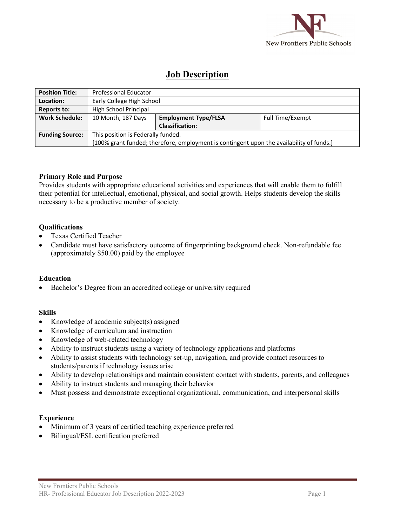

# **Job Description**

| <b>Position Title:</b> | <b>Professional Educator</b>                                                             |                             |                  |
|------------------------|------------------------------------------------------------------------------------------|-----------------------------|------------------|
| Location:              | Early College High School                                                                |                             |                  |
| <b>Reports to:</b>     | High School Principal                                                                    |                             |                  |
| <b>Work Schedule:</b>  | 10 Month, 187 Days                                                                       | <b>Employment Type/FLSA</b> | Full Time/Exempt |
|                        |                                                                                          | <b>Classification:</b>      |                  |
| <b>Funding Source:</b> | This position is Federally funded.                                                       |                             |                  |
|                        | [100% grant funded; therefore, employment is contingent upon the availability of funds.] |                             |                  |

## **Primary Role and Purpose**

Provides students with appropriate educational activities and experiences that will enable them to fulfill their potential for intellectual, emotional, physical, and social growth. Helps students develop the skills necessary to be a productive member of society.

## **Qualifications**

- Texas Certified Teacher
- Candidate must have satisfactory outcome of fingerprinting background check. Non-refundable fee (approximately \$50.00) paid by the employee

## **Education**

• Bachelor's Degree from an accredited college or university required

## **Skills**

- Knowledge of academic subject(s) assigned
- Knowledge of curriculum and instruction
- Knowledge of web-related technology
- Ability to instruct students using a variety of technology applications and platforms
- Ability to assist students with technology set-up, navigation, and provide contact resources to students/parents if technology issues arise
- Ability to develop relationships and maintain consistent contact with students, parents, and colleagues
- Ability to instruct students and managing their behavior
- Must possess and demonstrate exceptional organizational, communication, and interpersonal skills

## **Experience**

- Minimum of 3 years of certified teaching experience preferred
- Bilingual/ESL certification preferred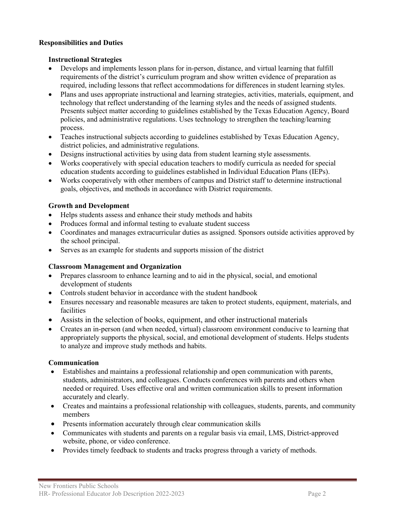## **Responsibilities and Duties**

## **Instructional Strategies**

- Develops and implements lesson plans for in-person, distance, and virtual learning that fulfill requirements of the district's curriculum program and show written evidence of preparation as required, including lessons that reflect accommodations for differences in student learning styles.
- Plans and uses appropriate instructional and learning strategies, activities, materials, equipment, and technology that reflect understanding of the learning styles and the needs of assigned students. Presents subject matter according to guidelines established by the Texas Education Agency, Board policies, and administrative regulations. Uses technology to strengthen the teaching/learning process.
- Teaches instructional subjects according to guidelines established by Texas Education Agency, district policies, and administrative regulations.
- Designs instructional activities by using data from student learning style assessments.
- Works cooperatively with special education teachers to modify curricula as needed for special education students according to guidelines established in Individual Education Plans (IEPs).
- Works cooperatively with other members of campus and District staff to determine instructional goals, objectives, and methods in accordance with District requirements.

# **Growth and Development**

- Helps students assess and enhance their study methods and habits
- Produces formal and informal testing to evaluate student success
- Coordinates and manages extracurricular duties as assigned. Sponsors outside activities approved by the school principal.
- Serves as an example for students and supports mission of the district

# **Classroom Management and Organization**

- Prepares classroom to enhance learning and to aid in the physical, social, and emotional development of students
- Controls student behavior in accordance with the student handbook
- Ensures necessary and reasonable measures are taken to protect students, equipment, materials, and facilities
- Assists in the selection of books, equipment, and other instructional materials
- Creates an in-person (and when needed, virtual) classroom environment conducive to learning that appropriately supports the physical, social, and emotional development of students. Helps students to analyze and improve study methods and habits.

# **Communication**

- Establishes and maintains a professional relationship and open communication with parents, students, administrators, and colleagues. Conducts conferences with parents and others when needed or required. Uses effective oral and written communication skills to present information accurately and clearly.
- Creates and maintains a professional relationship with colleagues, students, parents, and community members
- Presents information accurately through clear communication skills
- Communicates with students and parents on a regular basis via email, LMS, District-approved website, phone, or video conference.
- Provides timely feedback to students and tracks progress through a variety of methods.